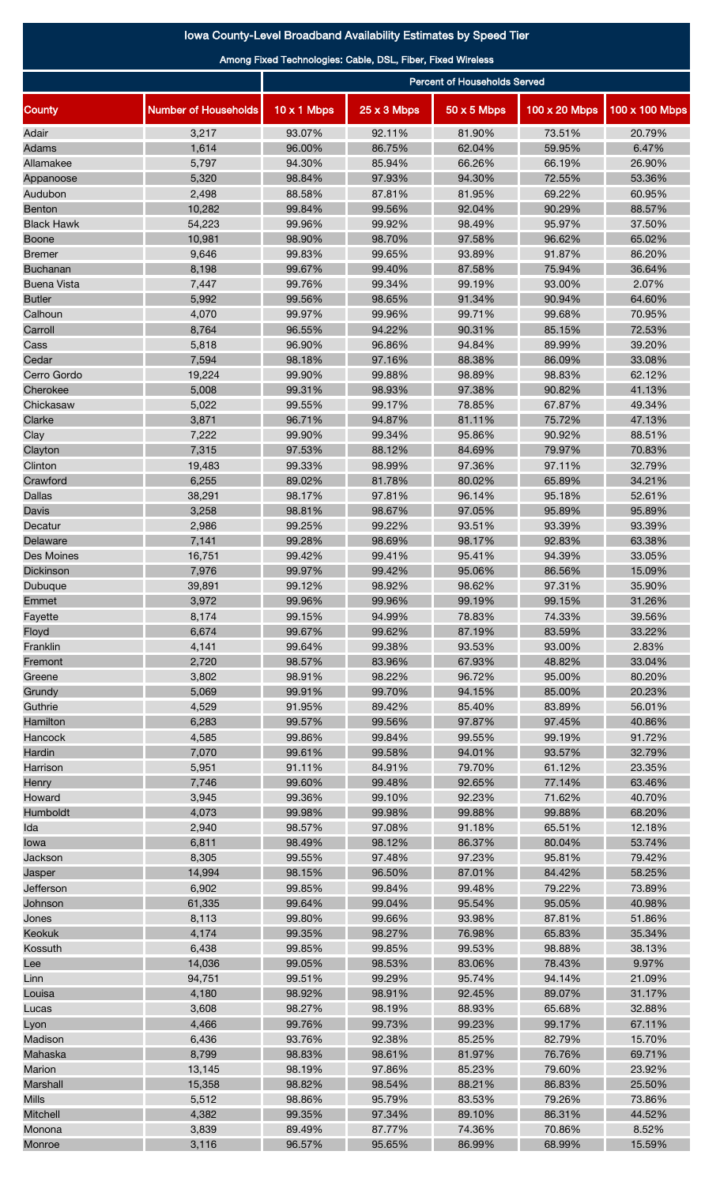## Iowa County-Level Broadband Availability Estimates by Speed Tier

Among Fixed Technologies: Cable, DSL, Fiber, Fixed Wireless

|                    |                             | <b>Percent of Households Served</b> |                  |                  |                  |                  |  |
|--------------------|-----------------------------|-------------------------------------|------------------|------------------|------------------|------------------|--|
| County             | <b>Number of Households</b> | 10 x 1 Mbps                         | 25 x 3 Mbps      | 50 x 5 Mbps      | 100 x 20 Mbps    | 100 x 100 Mbps   |  |
| Adair              | 3,217                       | 93.07%                              | 92.11%           | 81.90%           | 73.51%           | 20.79%           |  |
| Adams              | 1,614                       | 96.00%                              | 86.75%           | 62.04%           | 59.95%           | 6.47%            |  |
| Allamakee          | 5,797                       | 94.30%                              | 85.94%           | 66.26%           | 66.19%           | 26.90%           |  |
| Appanoose          | 5,320                       | 98.84%                              | 97.93%           | 94.30%           | 72.55%           | 53.36%           |  |
| Audubon            | 2,498                       | 88.58%                              | 87.81%           | 81.95%           | 69.22%           | 60.95%           |  |
| <b>Benton</b>      | 10,282                      | 99.84%                              | 99.56%           | 92.04%           | 90.29%           | 88.57%           |  |
| <b>Black Hawk</b>  | 54,223                      | 99.96%                              | 99.92%           | 98.49%           | 95.97%           | 37.50%           |  |
| <b>Boone</b>       | 10,981                      | 98.90%                              | 98.70%           | 97.58%           | 96.62%           | 65.02%           |  |
| <b>Bremer</b>      | 9,646                       | 99.83%                              | 99.65%           | 93.89%           | 91.87%           | 86.20%           |  |
| <b>Buchanan</b>    | 8,198                       | 99.67%                              | 99.40%           | 87.58%           | 75.94%           | 36.64%           |  |
| <b>Buena Vista</b> | 7,447                       | 99.76%                              | 99.34%           | 99.19%           | 93.00%           | 2.07%            |  |
| <b>Butler</b>      | 5,992                       | 99.56%                              | 98.65%           | 91.34%           | 90.94%           | 64.60%           |  |
| Calhoun            | 4,070<br>8,764              | 99.97%<br>96.55%                    | 99.96%<br>94.22% | 99.71%<br>90.31% | 99.68%<br>85.15% | 70.95%<br>72.53% |  |
| Carroll<br>Cass    | 5,818                       | 96.90%                              | 96.86%           | 94.84%           | 89.99%           | 39.20%           |  |
| Cedar              | 7,594                       | 98.18%                              | 97.16%           | 88.38%           | 86.09%           | 33.08%           |  |
| Cerro Gordo        | 19,224                      | 99.90%                              | 99.88%           | 98.89%           | 98.83%           | 62.12%           |  |
| Cherokee           | 5,008                       | 99.31%                              | 98.93%           | 97.38%           | 90.82%           | 41.13%           |  |
| Chickasaw          | 5,022                       | 99.55%                              | 99.17%           | 78.85%           | 67.87%           | 49.34%           |  |
| Clarke             | 3,871                       | 96.71%                              | 94.87%           | 81.11%           | 75.72%           | 47.13%           |  |
| Clay               | 7,222                       | 99.90%                              | 99.34%           | 95.86%           | 90.92%           | 88.51%           |  |
| Clayton            | 7,315                       | 97.53%                              | 88.12%           | 84.69%           | 79.97%           | 70.83%           |  |
| Clinton            | 19,483                      | 99.33%                              | 98.99%           | 97.36%           | 97.11%           | 32.79%           |  |
| Crawford           | 6,255                       | 89.02%                              | 81.78%           | 80.02%           | 65.89%           | 34.21%           |  |
| Dallas             | 38,291                      | 98.17%                              | 97.81%           | 96.14%           | 95.18%           | 52.61%           |  |
| Davis              | 3,258                       | 98.81%                              | 98.67%           | 97.05%           | 95.89%           | 95.89%           |  |
| Decatur            | 2,986                       | 99.25%                              | 99.22%           | 93.51%           | 93.39%           | 93.39%           |  |
| Delaware           | 7,141                       | 99.28%                              | 98.69%           | 98.17%           | 92.83%           | 63.38%           |  |
| Des Moines         | 16,751                      | 99.42%                              | 99.41%           | 95.41%           | 94.39%           | 33.05%           |  |
| Dickinson          | 7,976                       | 99.97%                              | 99.42%           | 95.06%           | 86.56%           | 15.09%           |  |
| Dubuque            | 39,891                      | 99.12%                              | 98.92%           | 98.62%           | 97.31%           | 35.90%           |  |
| Emmet              | 3,972                       | 99.96%                              | 99.96%           | 99.19%           | 99.15%           | 31.26%           |  |
| Fayette            | 8,174                       | 99.15%                              | 94.99%           | 78.83%           | 74.33%           | 39.56%           |  |
| Floyd              | 6,674                       | 99.67%                              | 99.62%           | 87.19%           | 83.59%           | 33.22%           |  |
| Franklin           | 4,141                       | 99.64%                              | 99.38%           | 93.53%           | 93.00%           | 2.83%            |  |
| Fremont            | 2,720                       | 98.57%                              | 83.96%           | 67.93%           | 48.82%           | 33.04%           |  |
| Greene             | 3,802                       | 98.91%                              | 98.22%           | 96.72%           | 95.00%           | 80.20%           |  |
| Grundy             | 5,069                       | 99.91%                              | 99.70%           | 94.15%           | 85.00%           | 20.23%           |  |
| Guthrie            | 4,529                       | 91.95%                              | 89.42%           | 85.40%           | 83.89%           | 56.01%           |  |
| Hamilton           | 6,283                       | 99.57%                              | 99.56%           | 97.87%           | 97.45%           | 40.86%           |  |
| Hancock            | 4,585                       | 99.86%                              | 99.84%           | 99.55%           | 99.19%           | 91.72%           |  |
| Hardin             | 7,070                       | 99.61%                              | 99.58%           | 94.01%           | 93.57%           | 32.79%           |  |
| Harrison           | 5,951                       | 91.11%                              | 84.91%           | 79.70%           | 61.12%           | 23.35%           |  |
| Henry              | 7,746                       | 99.60%                              | 99.48%           | 92.65%           | 77.14%           | 63.46%           |  |
| Howard             | 3,945                       | 99.36%                              | 99.10%           | 92.23%           | 71.62%           | 40.70%           |  |
| Humboldt           | 4,073                       | 99.98%                              | 99.98%           | 99.88%           | 99.88%           | 68.20%           |  |
| Ida                | 2,940                       | 98.57%                              | 97.08%           | 91.18%           | 65.51%           | 12.18%           |  |
| lowa               | 6,811                       | 98.49%                              | 98.12%           | 86.37%           | 80.04%           | 53.74%           |  |
| Jackson            | 8,305                       | 99.55%                              | 97.48%           | 97.23%           | 95.81%           | 79.42%           |  |
| Jasper             | 14,994                      | 98.15%                              | 96.50%           | 87.01%           | 84.42%           | 58.25%           |  |
| Jefferson          | 6,902                       | 99.85%                              | 99.84%           | 99.48%           | 79.22%           | 73.89%           |  |
| Johnson            | 61,335                      | 99.64%                              | 99.04%           | 95.54%           | 95.05%           | 40.98%           |  |
| Jones              | 8,113                       | 99.80%                              | 99.66%           | 93.98%           | 87.81%           | 51.86%           |  |
| Keokuk             | 4,174                       | 99.35%                              | 98.27%           | 76.98%           | 65.83%           | 35.34%           |  |
| Kossuth<br>Lee     | 6,438<br>14,036             | 99.85%<br>99.05%                    | 99.85%<br>98.53% | 99.53%<br>83.06% | 98.88%<br>78.43% | 38.13%<br>9.97%  |  |
|                    |                             |                                     |                  | 95.74%           |                  | 21.09%           |  |
| Linn               | 94,751<br>4,180             | 99.51%<br>98.92%                    | 99.29%<br>98.91% | 92.45%           | 94.14%<br>89.07% | 31.17%           |  |
| Louisa<br>Lucas    | 3,608                       | 98.27%                              | 98.19%           | 88.93%           | 65.68%           | 32.88%           |  |
| Lyon               | 4,466                       | 99.76%                              | 99.73%           | 99.23%           | 99.17%           | 67.11%           |  |
| Madison            | 6,436                       | 93.76%                              | 92.38%           | 85.25%           | 82.79%           | 15.70%           |  |
| Mahaska            | 8,799                       | 98.83%                              | 98.61%           | 81.97%           | 76.76%           | 69.71%           |  |
| Marion             | 13,145                      | 98.19%                              | 97.86%           | 85.23%           | 79.60%           | 23.92%           |  |
| Marshall           | 15,358                      | 98.82%                              | 98.54%           | 88.21%           | 86.83%           | 25.50%           |  |
| <b>Mills</b>       | 5,512                       | 98.86%                              | 95.79%           | 83.53%           | 79.26%           | 73.86%           |  |
| <b>Mitchell</b>    | 4,382                       | 99.35%                              | 97.34%           | 89.10%           | 86.31%           | 44.52%           |  |
| Monona             | 3,839                       | 89.49%                              | 87.77%           | 74.36%           | 70.86%           | 8.52%            |  |
| Monroe             | 3,116                       | 96.57%                              | 95.65%           | 86.99%           | 68.99%           | 15.59%           |  |